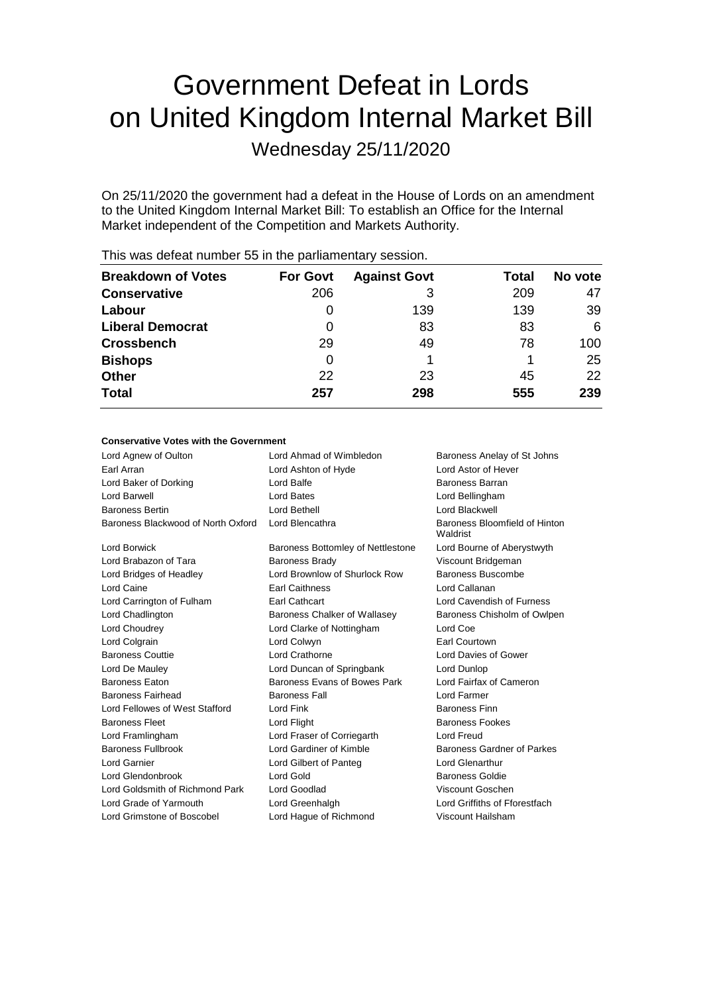# Government Defeat in Lords on United Kingdom Internal Market Bill

Wednesday 25/11/2020

On 25/11/2020 the government had a defeat in the House of Lords on an amendment to the United Kingdom Internal Market Bill: To establish an Office for the Internal Market independent of the Competition and Markets Authority.

| <b>Breakdown of Votes</b> | <b>For Govt</b> | <b>Against Govt</b> | Total | No vote |
|---------------------------|-----------------|---------------------|-------|---------|
| <b>Conservative</b>       | 206             | 3                   | 209   | 47      |
| Labour                    | 0               | 139                 | 139   | 39      |
| <b>Liberal Democrat</b>   | 0               | 83                  | 83    | 6       |
| <b>Crossbench</b>         | 29              | 49                  | 78    | 100     |
| <b>Bishops</b>            | 0               |                     |       | 25      |
| <b>Other</b>              | 22              | 23                  | 45    | 22      |
| <b>Total</b>              | 257             | 298                 | 555   | 239     |
|                           |                 |                     |       |         |

This was defeat number 55 in the parliamentary session.

# **Conservative Votes with the Government**

| Lord Agnew of Oulton               | Lord Ahmad of Wimbledon           | Baroness Anelay of St Johns               |
|------------------------------------|-----------------------------------|-------------------------------------------|
| Earl Arran                         | Lord Ashton of Hyde               | Lord Astor of Hever                       |
| Lord Baker of Dorking              | Lord Balfe                        | <b>Baroness Barran</b>                    |
| Lord Barwell                       | Lord Bates                        | Lord Bellingham                           |
| <b>Baroness Bertin</b>             | Lord Bethell                      | Lord Blackwell                            |
| Baroness Blackwood of North Oxford | Lord Blencathra                   | Baroness Bloomfield of Hinton<br>Waldrist |
| <b>Lord Borwick</b>                | Baroness Bottomley of Nettlestone | Lord Bourne of Aberystwyth                |
| Lord Brabazon of Tara              | <b>Baroness Brady</b>             | Viscount Bridgeman                        |
| Lord Bridges of Headley            | Lord Brownlow of Shurlock Row     | Baroness Buscombe                         |
| Lord Caine                         | <b>Earl Caithness</b>             | Lord Callanan                             |
| Lord Carrington of Fulham          | <b>Earl Cathcart</b>              | Lord Cavendish of Furness                 |
| Lord Chadlington                   | Baroness Chalker of Wallasey      | Baroness Chisholm of Owlpen               |
| Lord Choudrey                      | Lord Clarke of Nottingham         | Lord Coe                                  |
| Lord Colgrain                      | Lord Colwyn                       | Earl Courtown                             |
| <b>Baroness Couttie</b>            | Lord Crathorne                    | Lord Davies of Gower                      |
| Lord De Mauley                     | Lord Duncan of Springbank         | Lord Dunlop                               |
| <b>Baroness Faton</b>              | Baroness Evans of Bowes Park      | Lord Fairfax of Cameron                   |
| <b>Baroness Fairhead</b>           | <b>Baroness Fall</b>              | I ord Farmer                              |
| Lord Fellowes of West Stafford     | Lord Fink                         | <b>Baroness Finn</b>                      |
| <b>Baroness Fleet</b>              | Lord Flight                       | <b>Baroness Fookes</b>                    |
| Lord Framlingham                   | Lord Fraser of Corriegarth        | <b>Lord Freud</b>                         |
| <b>Baroness Fullbrook</b>          | Lord Gardiner of Kimble           | Baroness Gardner of Parkes                |
| Lord Garnier                       | Lord Gilbert of Panteg            | Lord Glenarthur                           |
| Lord Glendonbrook                  | Lord Gold                         | <b>Baroness Goldie</b>                    |
| Lord Goldsmith of Richmond Park    | Lord Goodlad                      | Viscount Goschen                          |
| Lord Grade of Yarmouth             | Lord Greenhalgh                   | Lord Griffiths of Fforestfach             |
| Lord Grimstone of Boscobel         | Lord Hague of Richmond            | Viscount Hailsham                         |
|                                    |                                   |                                           |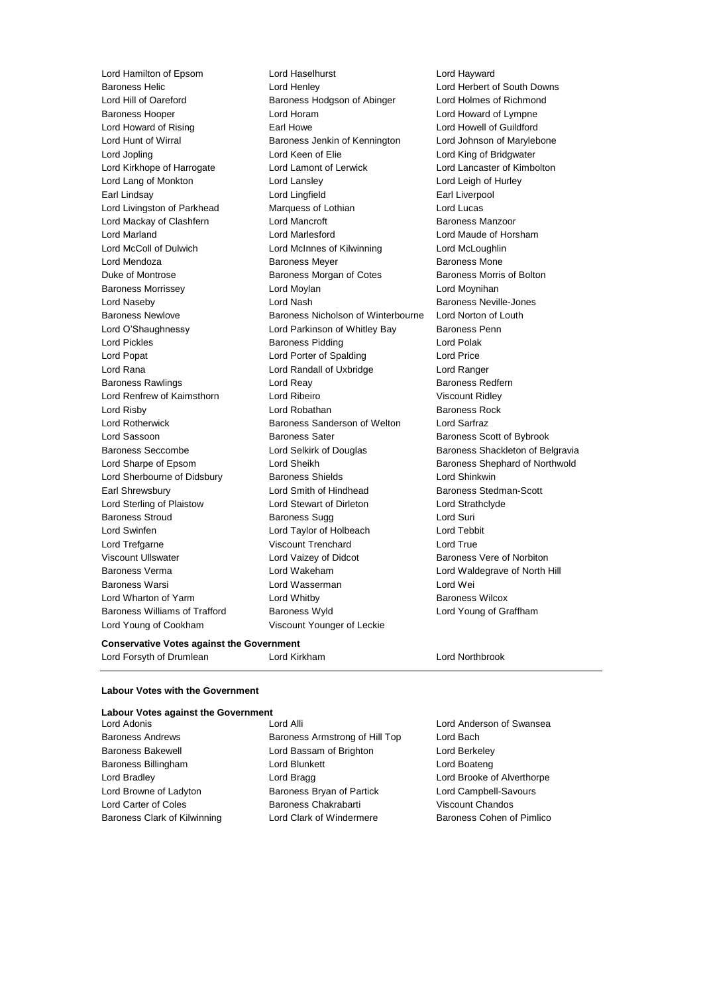Lord Hamilton of Epsom Lord Haselhurst Lord Hayward Lord Young of Cookham Viscount Younger of Leckie

Baroness Helic Lord Henley Lord Herbert of South Downs Lord Hill of Oareford **Baroness Hodgson of Abinger** Lord Holmes of Richmond Baroness Hooper Lord Horam Lord Howard of Lympne Lord Howard of Rising **Earl Howe** Earl Howe Lord Howell of Guildford Lord Hunt of Wirral **Baroness Jenkin of Kennington** Lord Johnson of Marylebone Lord Jopling Lord Keen of Elie Lord King of Bridgwater Lord Kirkhope of Harrogate Lord Lamont of Lerwick Lord Lancaster of Kimbolton Lord Lang of Monkton Lord Lansley Lord Leigh of Hurley Earl Lindsay **Lord Lingfield** Earl Liverpool Lord Livingston of Parkhead Marquess of Lothian Lord Lucas Lord Mackay of Clashfern Lord Mancroft Baroness Manzoor Lord Marland Lord Marlesford Lord Maude of Horsham Lord McColl of Dulwich Lord McInnes of Kilwinning Lord McLoughlin Lord Mendoza Baroness Meyer Baroness Mone Duke of Montrose **Baroness Morgan of Cotes** Baroness Morris of Bolton Baroness Morrissey Lord Moylan Lord Moynihan Lord Naseby Lord Nash Baroness Neville-Jones Baroness Newlove Baroness Nicholson of Winterbourne Lord Norton of Louth Lord O'Shaughnessy **Lord Parkinson of Whitley Bay** Baroness Penn Lord Pickles **Baroness Pidding** Lord Polak Lord Popat Lord Porter of Spalding Lord Price Lord Rana Lord Randall of Uxbridge Lord Ranger Baroness Rawlings **Example 20** Lord Reay **Baroness Redfern** Lord Renfrew of Kaimsthorn Lord Ribeiro Viscount Ridley Lord Risby **Lord Robathan** Baroness Rock Lord Rotherwick Baroness Sanderson of Welton Lord Sarfraz Lord Sassoon **Baroness Sater** Baroness Sater Baroness Scott of Bybrook Baroness Seccombe **Lord Selkirk of Douglas** Baroness Shackleton of Belgravia Lord Sharpe of Epsom Cord Sheikh Baroness Shephard of Northwold Lord Sherbourne of Didsbury Baroness Shields Lord Shinkwin Earl Shrewsbury **Lord Smith of Hindhead** Baroness Stedman-Scott Lord Sterling of Plaistow Lord Stewart of Dirleton Lord Strathclyde Baroness Stroud **Baroness Sugg Community** Baroness Sugg **Lord Suri** Lord Swinfen Lord Taylor of Holbeach Lord Tebbit Lord Trefgarne **Viscount Trenchard** Lord True Viscount Ullswater **Lord Vaizey of Didcot** Baroness Vere of Norbiton Baroness Verma Lord Wakeham Lord Waldegrave of North Hill Baroness Warsi Lord Wasserman Lord Wei Lord Wharton of Yarm **Lord Whitby Example 20** Baroness Wilcox Baroness Williams of Trafford Baroness Wyld Lord Young of Graffham

# **Conservative Votes against the Government**

Lord Forsyth of Drumlean Lord Kirkham Lord Northbrook

# **Labour Votes with the Government**

| <b>Labour Votes against the Government</b> |                                |                            |
|--------------------------------------------|--------------------------------|----------------------------|
| Lord Adonis                                | Lord Alli                      | Lord Anderson of Swansea   |
| <b>Baroness Andrews</b>                    | Baroness Armstrong of Hill Top | Lord Bach                  |
| <b>Baroness Bakewell</b>                   | Lord Bassam of Brighton        | Lord Berkeley              |
| Baroness Billingham                        | Lord Blunkett                  | Lord Boateng               |
| Lord Bradley                               | Lord Bragg                     | Lord Brooke of Alverthorpe |
| Lord Browne of Ladyton                     | Baroness Bryan of Partick      | Lord Campbell-Savours      |
| Lord Carter of Coles                       | Baroness Chakrabarti           | Viscount Chandos           |
| Baroness Clark of Kilwinning               | Lord Clark of Windermere       | Baroness Cohen of Pimlico  |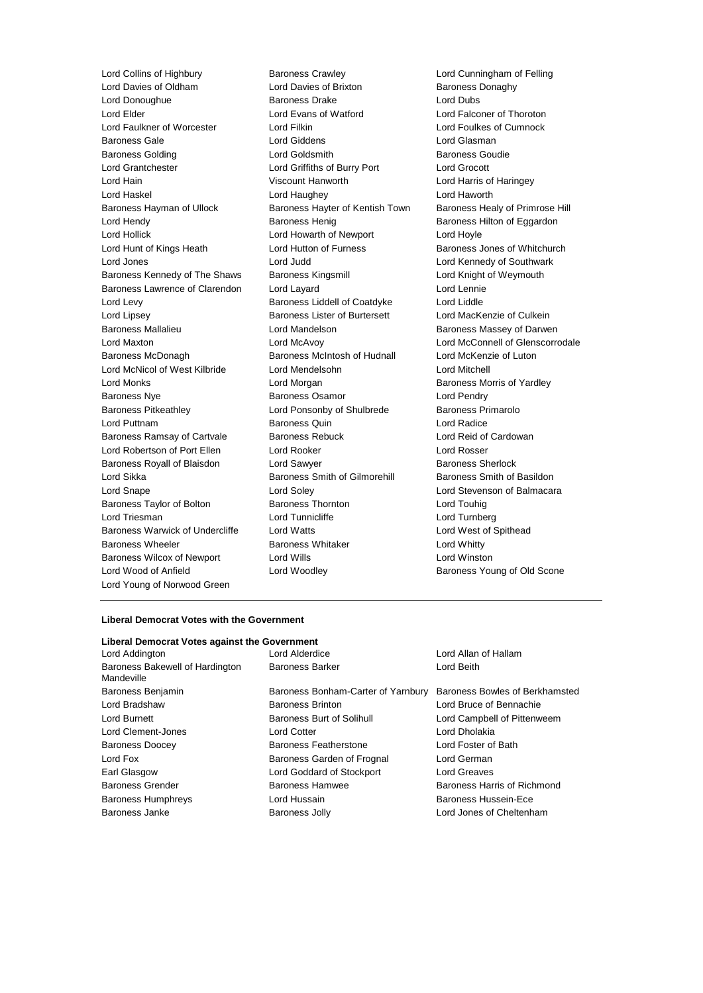Lord Davies of Oldham Lord Davies of Brixton Baroness Donaghy Lord Donoughue Baroness Drake Lord Dubs Lord Elder Lord Evans of Watford Lord Falconer of Thoroton Lord Faulkner of Worcester Lord Filkin Lord Foulkes of Cumnock Baroness Gale Lord Giddens Lord Glasman **Baroness Golding Community Construction Coldsmith** Baroness Goudie Lord Grantchester Lord Griffiths of Burry Port Lord Grocott Lord Hain Viscount Hanworth Lord Harris of Haringey Lord Haskel Lord Haughey Lord Haworth Baroness Hayman of Ullock Baroness Hayter of Kentish Town Baroness Healy of Primrose Hill Lord Hendy **Baroness Henig** Baroness Henig Baroness Hilton of Eggardon Lord Hollick Lord Howarth of Newport Lord Hoyle Lord Hunt of Kings Heath Lord Hutton of Furness **Baroness Jones of Whitchurch** Lord Jones Lord Judd Lord Kennedy of Southwark Baroness Kennedy of The Shaws Baroness Kingsmill **Baroness Lord Knight of Weymouth** Baroness Lawrence of Clarendon Lord Layard Lord Lennie Lord Levy **Baroness Liddell of Coatdyke** Lord Liddle Lord Lipsey Baroness Lister of Burtersett Lord MacKenzie of Culkein Baroness Mallalieu **Baroness Mandelson** Lord Mandelson Baroness Massey of Darwen Lord Maxton Lord McAvoy Lord McConnell of Glenscorrodale Baroness McDonagh Baroness McIntosh of Hudnall Lord McKenzie of Luton Lord McNicol of West Kilbride Lord Mendelsohn Lord Mitchell Lord Monks **Lord Morgan** Lord Morgan Baroness Morris of Yardley Baroness Nye **Baroness Osamor Baroness Osamor Lord Pendry** Baroness Pitkeathley Lord Ponsonby of Shulbrede Baroness Primarolo Lord Puttnam Baroness Quin Lord Radice Baroness Ramsay of Cartvale Baroness Rebuck Lord Reid of Cardowan Lord Robertson of Port Ellen Lord Rooker Lord Rosser Baroness Royall of Blaisdon Lord Sawyer **Baroness Sherlock** Baroness Sherlock Lord Sikka Baroness Smith of Gilmorehill Baroness Smith of Basildon Lord Snape Lord Soley Lord Stevenson of Balmacara Baroness Taylor of Bolton **Baroness Thornton** Baroness Thomas Lord Touhig Lord Triesman **Lord Tunnicliffe** Lord Tunnicliffe Lord Turnberg Baroness Warwick of Undercliffe Lord Watts Lord West of Spithead Baroness Wheeler **Baroness Whitaker Baroness Whitaker Lord Whitty** Baroness Wilcox of Newport Lord Wills Lord Winston Lord Wood of Anfield **Lord Woodley Lord Woodley Baroness Young of Old Scone** Lord Young of Norwood Green

Lord Collins of Highbury Baroness Crawley Lord Cunningham of Felling

### **Liberal Democrat Votes with the Government**

# **Liberal Democrat Votes against the Government**

| Lord Addington                                | Lord Alderdice                     | Lord Allan of Hallam           |
|-----------------------------------------------|------------------------------------|--------------------------------|
| Baroness Bakewell of Hardington<br>Mandeville | <b>Baroness Barker</b>             | Lord Beith                     |
| Baroness Benjamin                             | Baroness Bonham-Carter of Yarnbury | Baroness Bowles of Berkhamsted |
| Lord Bradshaw                                 | <b>Baroness Brinton</b>            | Lord Bruce of Bennachie        |
| Lord Burnett                                  | <b>Baroness Burt of Solihull</b>   | Lord Campbell of Pittenweem    |
| Lord Clement-Jones                            | <b>Lord Cotter</b>                 | Lord Dholakia                  |
| <b>Baroness Doocey</b>                        | Baroness Featherstone              | Lord Foster of Bath            |
| Lord Fox                                      | Baroness Garden of Frognal         | Lord German                    |
| Earl Glasgow                                  | Lord Goddard of Stockport          | Lord Greaves                   |
| <b>Baroness Grender</b>                       | <b>Baroness Hamwee</b>             | Baroness Harris of Richmond    |
| <b>Baroness Humphreys</b>                     | Lord Hussain                       | Baroness Hussein-Ece           |
| <b>Baroness Janke</b>                         | <b>Baroness Jolly</b>              | Lord Jones of Cheltenham       |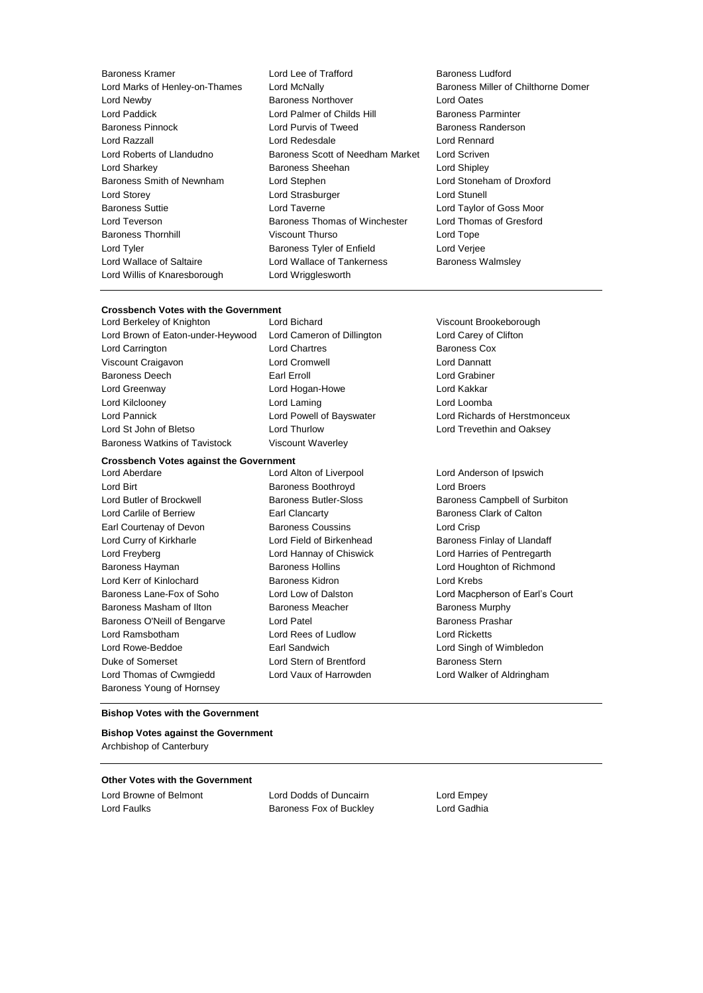Lord Willis of Knaresborough Lord Wrigglesworth

Baroness Kramer Lord Lee of Trafford Baroness Ludford Lord Marks of Henley-on-Thames Lord McNally Baroness Miller of Chilthorne Domer Lord Newby Baroness Northover Lord Oates Lord Paddick Lord Palmer of Childs Hill Baroness Parminter Baroness Pinnock Lord Purvis of Tweed Baroness Randerson Lord Razzall Lord Redesdale Lord Rennard Lord Roberts of Llandudno Baroness Scott of Needham Market Lord Scriven Lord Sharkey **Baroness Sheehan** Lord Shipley Baroness Smith of Newnham Lord Stephen Lord Stoneham of Droxford Lord Storey Lord Strasburger Lord Stunell Baroness Suttie Lord Taverne Lord Taylor of Goss Moor Lord Teverson Baroness Thomas of Winchester Lord Thomas of Gresford Baroness Thornhill Viscount Thurso Lord Tope Lord Tyler Baroness Tyler of Enfield Lord Verjee Lord Wallace of Saltaire **Lord Wallace of Tankerness** Baroness Walmsley

#### **Crossbench Votes with the Government**

Lord Berkeley of Knighton Lord Bichard Viscount Brookeborough Lord Brown of Eaton-under-Heywood Lord Cameron of Dillington Lord Carey of Clifton Lord Carrington Lord Chartres Baroness Cox Viscount Craigavon Lord Cromwell Lord Dannatt Baroness Deech **Earl Erroll** Earl Erroll **Earl Except Earl Except Earl E**rroll **Lord Grabiner** Lord Greenway Lord Hogan-Howe Lord Kakkar Lord Kilclooney Lord Laming Lord Loomba Lord Pannick Lord Powell of Bayswater Lord Richards of Herstmonceux Lord St John of Bletso **Lord Thurlow** Lord Thurlow Lord Trevethin and Oaksey

#### **Crossbench Votes against the Government**

Lord Birt Baroness Boothroyd Lord Broers Lord Carlile of Berriew **Earl Clancarty** Earl Clancarty **Baroness Clark of Calton** Earl Courtenay of Devon Baroness Coussins Lord Crisp Lord Curry of Kirkharle **Lord Field of Birkenhead** Baroness Finlay of Llandaff Lord Freyberg Lord Hannay of Chiswick Lord Harries of Pentregarth Baroness Hayman Baroness Hollins Lord Houghton of Richmond Lord Kerr of Kinlochard Baroness Kidron Lord Krebs Baroness Masham of Ilton Baroness Meacher Baroness Meacher Baroness Murphy Baroness O'Neill of Bengarve Lord Patel **Baroness Prashar** Baroness Prashar Lord Ramsbotham Lord Rees of Ludlow Lord Ricketts Lord Rowe-Beddoe Earl Sandwich Lord Singh of Wimbledon Duke of Somerset Lord Stern of Brentford Baroness Stern Lord Thomas of Cwmgiedd Lord Vaux of Harrowden Lord Walker of Aldringham Baroness Young of Hornsey

Baroness Watkins of Tavistock Viscount Waverley

Lord Aberdare Lord Alton of Liverpool Lord Anderson of Ipswich

Lord Butler of Brockwell Baroness Butler-Sloss Baroness Campbell of Surbiton Baroness Lane-Fox of Soho Lord Low of Dalston Lord Macpherson of Earl's Court

#### **Bishop Votes with the Government**

**Bishop Votes against the Government** Archbishop of Canterbury

## **Other Votes with the Government**

Lord Browne of Belmont Lord Dodds of Duncairn Lord Empey Lord Faulks Baroness Fox of Buckley Lord Gadhia